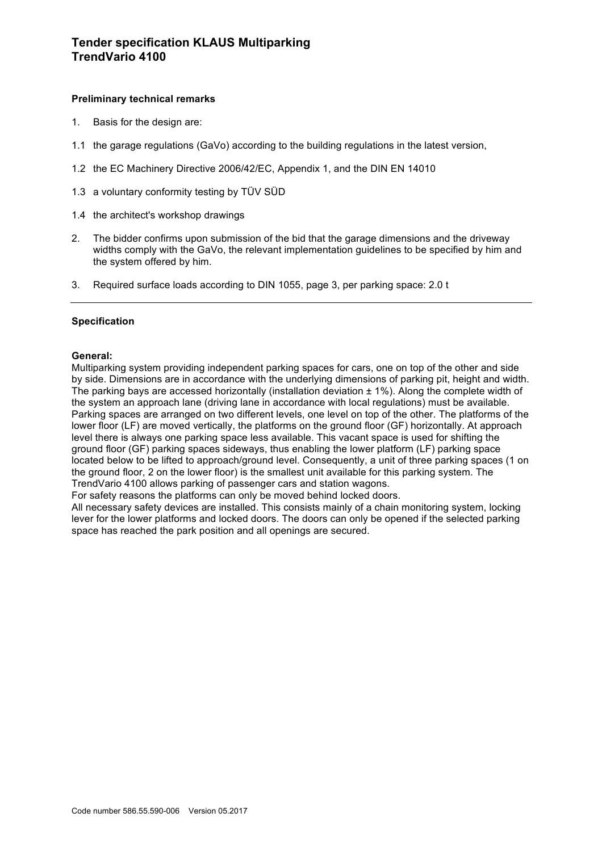## **Preliminary technical remarks**

- 1. Basis for the design are:
- 1.1 the garage regulations (GaVo) according to the building regulations in the latest version,
- 1.2 the EC Machinery Directive 2006/42/EC, Appendix 1, and the DIN EN 14010
- 1.3 a voluntary conformity testing by TÜV SÜD
- 1.4 the architect's workshop drawings
- 2. The bidder confirms upon submission of the bid that the garage dimensions and the driveway widths comply with the GaVo, the relevant implementation guidelines to be specified by him and the system offered by him.
- 3. Required surface loads according to DIN 1055, page 3, per parking space: 2.0 t

## **Specification**

## **General:**

Multiparking system providing independent parking spaces for cars, one on top of the other and side by side. Dimensions are in accordance with the underlying dimensions of parking pit, height and width. The parking bays are accessed horizontally (installation deviation  $\pm$  1%). Along the complete width of the system an approach lane (driving lane in accordance with local regulations) must be available. Parking spaces are arranged on two different levels, one level on top of the other. The platforms of the lower floor (LF) are moved vertically, the platforms on the ground floor (GF) horizontally. At approach level there is always one parking space less available. This vacant space is used for shifting the ground floor (GF) parking spaces sideways, thus enabling the lower platform (LF) parking space located below to be lifted to approach/ground level. Consequently, a unit of three parking spaces (1 on the ground floor, 2 on the lower floor) is the smallest unit available for this parking system. The TrendVario 4100 allows parking of passenger cars and station wagons.

For safety reasons the platforms can only be moved behind locked doors.

All necessary safety devices are installed. This consists mainly of a chain monitoring system, locking lever for the lower platforms and locked doors. The doors can only be opened if the selected parking space has reached the park position and all openings are secured.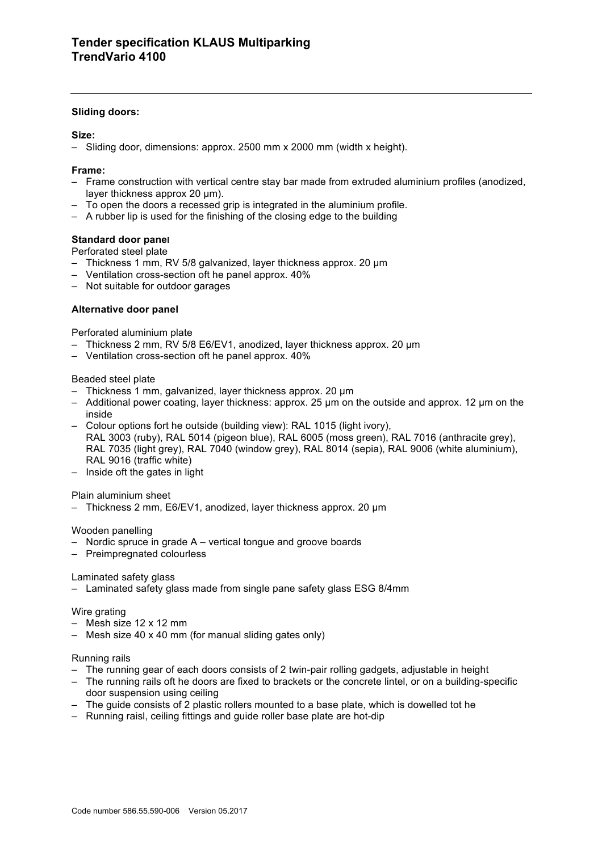## **Sliding doors:**

## **Size:**

– Sliding door, dimensions: approx. 2500 mm x 2000 mm (width x height).

## **Frame:**

- Frame construction with vertical centre stay bar made from extruded aluminium profiles (anodized, layer thickness approx 20 µm).
- To open the doors a recessed grip is integrated in the aluminium profile.
- A rubber lip is used for the finishing of the closing edge to the building

## **Standard door panel**

Perforated steel plate

- Thickness 1 mm, RV 5/8 galvanized, layer thickness approx. 20 µm
- Ventilation cross-section oft he panel approx. 40%
- Not suitable for outdoor garages

## **Alternative door panel**

Perforated aluminium plate

- Thickness 2 mm, RV 5/8 E6/EV1, anodized, layer thickness approx. 20 µm
- Ventilation cross-section oft he panel approx. 40%

## Beaded steel plate

- Thickness 1 mm, galvanized, layer thickness approx. 20 µm
- Additional power coating, layer thickness: approx. 25 µm on the outside and approx. 12 µm on the inside
- Colour options fort he outside (building view): RAL 1015 (light ivory), RAL 3003 (ruby), RAL 5014 (pigeon blue), RAL 6005 (moss green), RAL 7016 (anthracite grey), RAL 7035 (light grey), RAL 7040 (window grey), RAL 8014 (sepia), RAL 9006 (white aluminium), RAL 9016 (traffic white)
- Inside oft the gates in light

## Plain aluminium sheet

– Thickness 2 mm, E6/EV1, anodized, layer thickness approx. 20 µm

## Wooden panelling

- Nordic spruce in grade A vertical tongue and groove boards
- Preimpregnated colourless

## Laminated safety glass

– Laminated safety glass made from single pane safety glass ESG 8/4mm

## Wire grating

- Mesh size 12 x 12 mm
- Mesh size 40 x 40 mm (for manual sliding gates only)

## Running rails

- The running gear of each doors consists of 2 twin-pair rolling gadgets, adjustable in height
- The running rails oft he doors are fixed to brackets or the concrete lintel, or on a building-specific door suspension using ceiling
- The guide consists of 2 plastic rollers mounted to a base plate, which is dowelled tot he
- Running raisl, ceiling fittings and guide roller base plate are hot-dip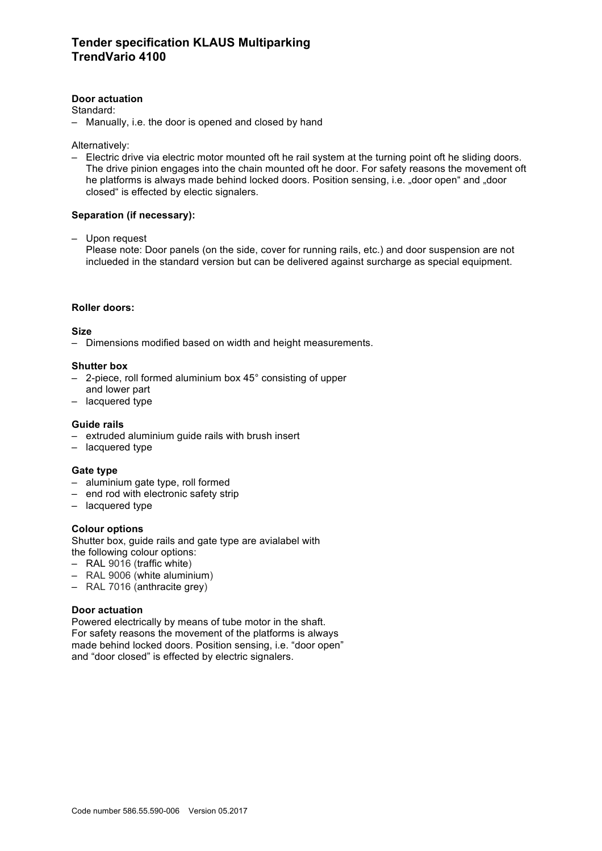## **Door actuation**

Standard:

– Manually, i.e. the door is opened and closed by hand

Alternatively:

– Electric drive via electric motor mounted oft he rail system at the turning point oft he sliding doors. The drive pinion engages into the chain mounted oft he door. For safety reasons the movement oft he platforms is always made behind locked doors. Position sensing, i.e. "door open" and "door closed" is effected by electic signalers.

## **Separation (if necessary):**

– Upon request

Please note: Door panels (on the side, cover for running rails, etc.) and door suspension are not inclueded in the standard version but can be delivered against surcharge as special equipment.

## **Roller doors:**

**Size**

– Dimensions modified based on width and height measurements.

## **Shutter box**

- 2-piece, roll formed aluminium box 45° consisting of upper
- and lower part
- lacquered type

## **Guide rails**

- extruded aluminium guide rails with brush insert
- lacquered type

## **Gate type**

- aluminium gate type, roll formed
- end rod with electronic safety strip
- lacquered type

# **Colour options**

Shutter box, guide rails and gate type are avialabel with the following colour options:

- RAL 9016 (traffic white)
- RAL 9006 (white aluminium)
- RAL 7016 (anthracite grey)

# **Door actuation**

Powered electrically by means of tube motor in the shaft. For safety reasons the movement of the platforms is always made behind locked doors. Position sensing, i.e. "door open" and "door closed" is effected by electric signalers.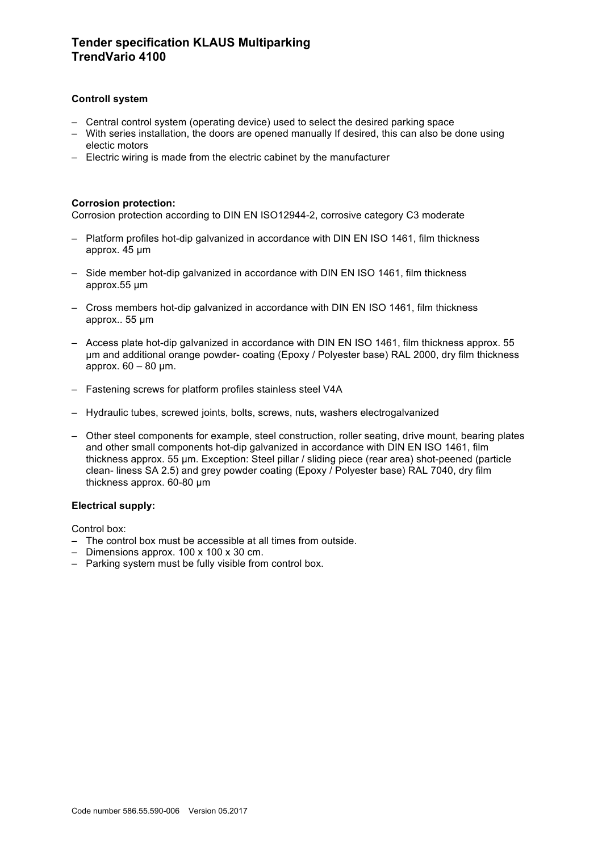# **Tender specification KLAUS Multiparking TrendVario 4100**

## **Controll system**

- Central control system (operating device) used to select the desired parking space
- With series installation, the doors are opened manually If desired, this can also be done using electic motors
- Electric wiring is made from the electric cabinet by the manufacturer

## **Corrosion protection:**

Corrosion protection according to DIN EN ISO12944-2, corrosive category C3 moderate

- Platform profiles hot-dip galvanized in accordance with DIN EN ISO 1461, film thickness approx. 45 µm
- Side member hot-dip galvanized in accordance with DIN EN ISO 1461, film thickness approx.55 µm
- Cross members hot-dip galvanized in accordance with DIN EN ISO 1461, film thickness approx.. 55 µm
- Access plate hot-dip galvanized in accordance with DIN EN ISO 1461, film thickness approx. 55 µm and additional orange powder- coating (Epoxy / Polyester base) RAL 2000, dry film thickness approx.  $60 - 80$  µm.
- Fastening screws for platform profiles stainless steel V4A
- Hydraulic tubes, screwed joints, bolts, screws, nuts, washers electrogalvanized
- Other steel components for example, steel construction, roller seating, drive mount, bearing plates and other small components hot-dip galvanized in accordance with DIN EN ISO 1461, film thickness approx. 55 µm. Exception: Steel pillar / sliding piece (rear area) shot-peened (particle clean- liness SA 2.5) and grey powder coating (Epoxy / Polyester base) RAL 7040, dry film thickness approx. 60-80 µm

## **Electrical supply:**

Control box:

- The control box must be accessible at all times from outside.
- Dimensions approx. 100 x 100 x 30 cm.
- Parking system must be fully visible from control box.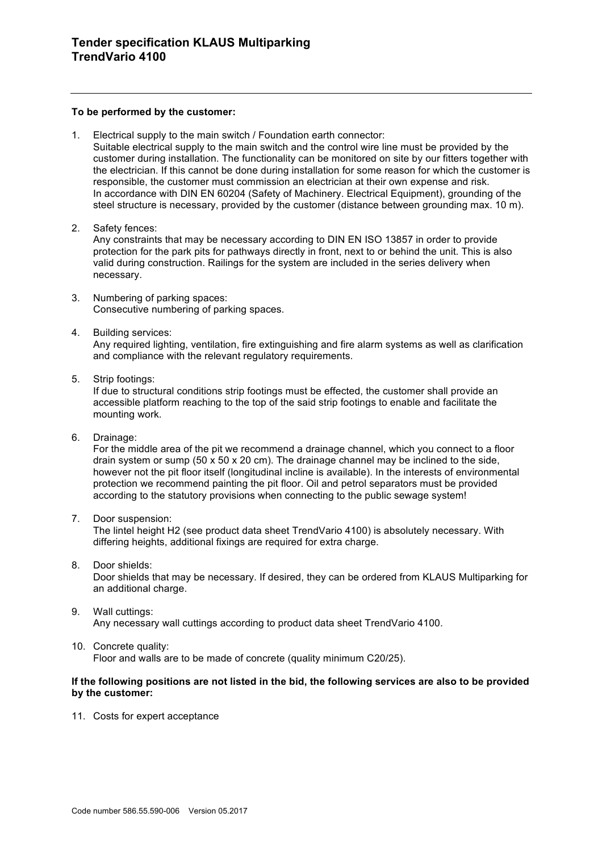#### **To be performed by the customer:**

1. Electrical supply to the main switch / Foundation earth connector:

Suitable electrical supply to the main switch and the control wire line must be provided by the customer during installation. The functionality can be monitored on site by our fitters together with the electrician. If this cannot be done during installation for some reason for which the customer is responsible, the customer must commission an electrician at their own expense and risk. In accordance with DIN EN 60204 (Safety of Machinery. Electrical Equipment), grounding of the steel structure is necessary, provided by the customer (distance between grounding max. 10 m).

2. Safety fences:

Any constraints that may be necessary according to DIN EN ISO 13857 in order to provide protection for the park pits for pathways directly in front, next to or behind the unit. This is also valid during construction. Railings for the system are included in the series delivery when necessary.

- 3. Numbering of parking spaces: Consecutive numbering of parking spaces.
- 4. Building services:

Any required lighting, ventilation, fire extinguishing and fire alarm systems as well as clarification and compliance with the relevant regulatory requirements.

5. Strip footings:

If due to structural conditions strip footings must be effected, the customer shall provide an accessible platform reaching to the top of the said strip footings to enable and facilitate the mounting work.

6. Drainage:

For the middle area of the pit we recommend a drainage channel, which you connect to a floor drain system or sump  $(50 \times 50 \times 20 \text{ cm})$ . The drainage channel may be inclined to the side. however not the pit floor itself (longitudinal incline is available). In the interests of environmental protection we recommend painting the pit floor. Oil and petrol separators must be provided according to the statutory provisions when connecting to the public sewage system!

7. Door suspension:

The lintel height H2 (see product data sheet TrendVario 4100) is absolutely necessary. With differing heights, additional fixings are required for extra charge.

- 8. Door shields: Door shields that may be necessary. If desired, they can be ordered from KLAUS Multiparking for an additional charge.
- 9. Wall cuttings: Any necessary wall cuttings according to product data sheet TrendVario 4100.
- 10. Concrete quality: Floor and walls are to be made of concrete (quality minimum C20/25).

## **If the following positions are not listed in the bid, the following services are also to be provided by the customer:**

11. Costs for expert acceptance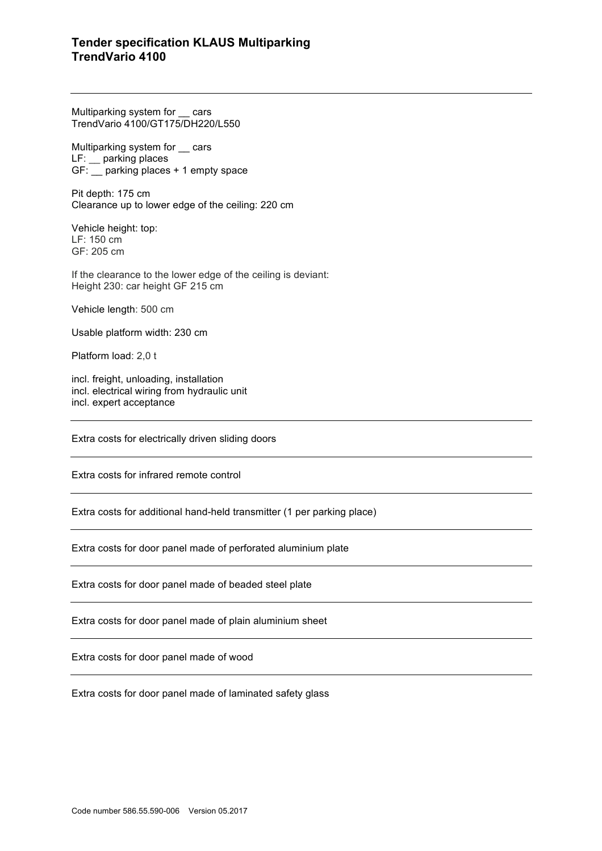# **Tender specification KLAUS Multiparking TrendVario 4100**

Multiparking system for \_\_ cars TrendVario 4100/GT175/DH220/L550

Multiparking system for cars LF: \_\_ parking places GF: \_\_ parking places + 1 empty space

Pit depth: 175 cm Clearance up to lower edge of the ceiling: 220 cm

Vehicle height: top: LF: 150 cm GF: 205 cm

If the clearance to the lower edge of the ceiling is deviant: Height 230: car height GF 215 cm

Vehicle length: 500 cm

Usable platform width: 230 cm

Platform load: 2,0 t

incl. freight, unloading, installation incl. electrical wiring from hydraulic unit incl. expert acceptance

Extra costs for electrically driven sliding doors

Extra costs for infrared remote control

Extra costs for additional hand-held transmitter (1 per parking place)

Extra costs for door panel made of perforated aluminium plate

Extra costs for door panel made of beaded steel plate

Extra costs for door panel made of plain aluminium sheet

Extra costs for door panel made of wood

Extra costs for door panel made of laminated safety glass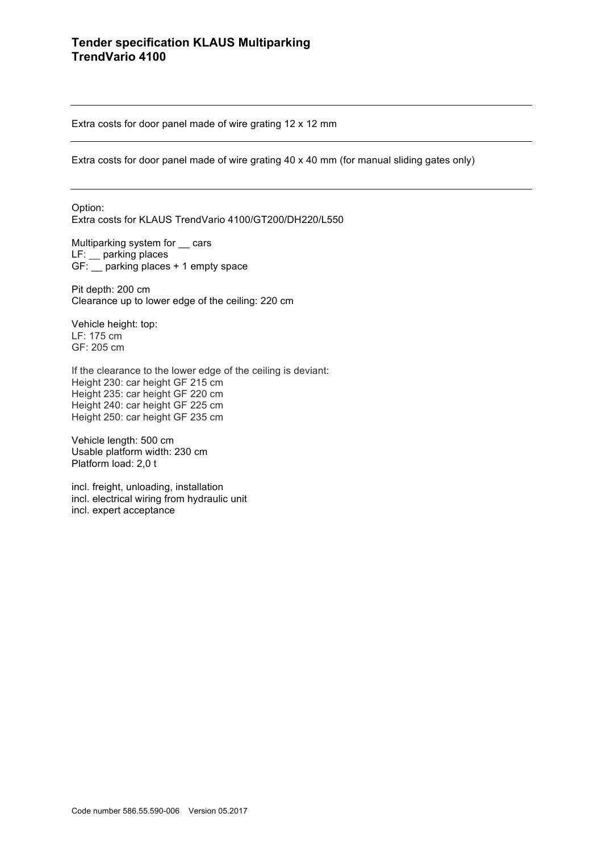Extra costs for door panel made of wire grating 12 x 12 mm

Extra costs for door panel made of wire grating 40 x 40 mm (for manual sliding gates only)

Option: Extra costs for KLAUS TrendVario 4100/GT200/DH220/L550

Multiparking system for \_\_ cars LF: \_\_ parking places GF: \_\_ parking places + 1 empty space

Pit depth: 200 cm Clearance up to lower edge of the ceiling: 220 cm

Vehicle height: top: LF: 175 cm GF: 205 cm

If the clearance to the lower edge of the ceiling is deviant: Height 230: car height GF 215 cm Height 235: car height GF 220 cm Height 240: car height GF 225 cm Height 250: car height GF 235 cm

Vehicle length: 500 cm Usable platform width: 230 cm Platform load: 2,0 t

incl. freight, unloading, installation incl. electrical wiring from hydraulic unit incl. expert acceptance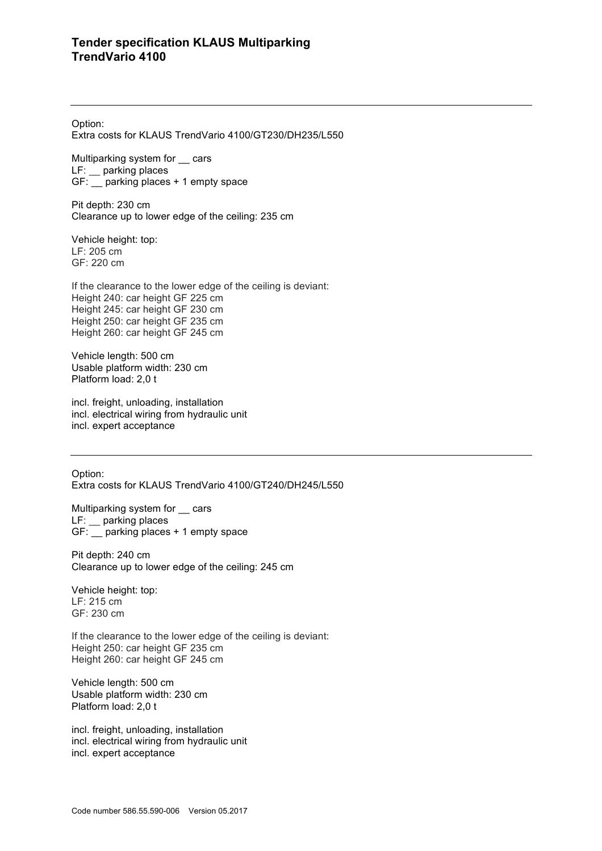Option:

Extra costs for KLAUS TrendVario 4100/GT230/DH235/L550

Multiparking system for \_\_ cars LF: parking places GF: \_\_ parking places + 1 empty space

Pit depth: 230 cm Clearance up to lower edge of the ceiling: 235 cm

Vehicle height: top: LF: 205 cm GF: 220 cm

If the clearance to the lower edge of the ceiling is deviant: Height 240: car height GF 225 cm Height 245: car height GF 230 cm Height 250: car height GF 235 cm Height 260: car height GF 245 cm

Vehicle length: 500 cm Usable platform width: 230 cm Platform load: 2,0 t

incl. freight, unloading, installation incl. electrical wiring from hydraulic unit incl. expert acceptance

Option: Extra costs for KLAUS TrendVario 4100/GT240/DH245/L550

Multiparking system for \_\_ cars LF: \_\_ parking places GF: \_\_ parking places + 1 empty space

Pit depth: 240 cm Clearance up to lower edge of the ceiling: 245 cm

Vehicle height: top: LF: 215 cm GF: 230 cm

If the clearance to the lower edge of the ceiling is deviant: Height 250: car height GF 235 cm Height 260: car height GF 245 cm

Vehicle length: 500 cm Usable platform width: 230 cm Platform load: 2,0 t

incl. freight, unloading, installation incl. electrical wiring from hydraulic unit incl. expert acceptance